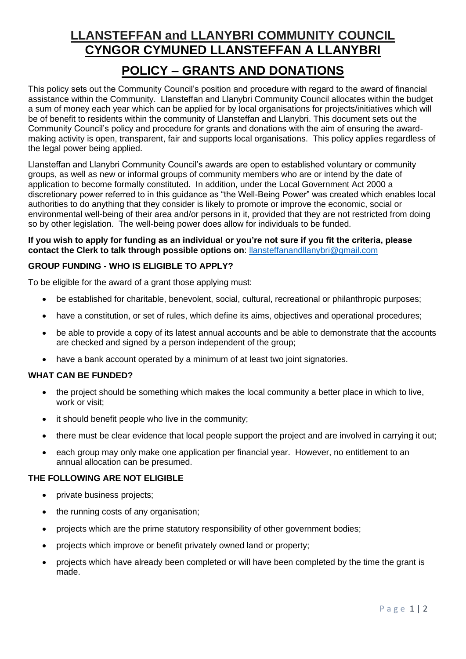# **LLANSTEFFAN and LLANYBRI COMMUNITY COUNCIL CYNGOR CYMUNED LLANSTEFFAN A LLANYBRI POLICY – GRANTS AND DONATIONS**

This policy sets out the Community Council's position and procedure with regard to the award of financial assistance within the Community. Llansteffan and Llanybri Community Council allocates within the budget a sum of money each year which can be applied for by local organisations for projects/initiatives which will be of benefit to residents within the community of Llansteffan and Llanybri. This document sets out the Community Council's policy and procedure for grants and donations with the aim of ensuring the awardmaking activity is open, transparent, fair and supports local organisations. This policy applies regardless of the legal power being applied.

Llansteffan and Llanybri Community Council's awards are open to established voluntary or community groups, as well as new or informal groups of community members who are or intend by the date of application to become formally constituted. In addition, under the Local Government Act 2000 a discretionary power referred to in this guidance as "the Well-Being Power" was created which enables local authorities to do anything that they consider is likely to promote or improve the economic, social or environmental well-being of their area and/or persons in it, provided that they are not restricted from doing so by other legislation. The well-being power does allow for individuals to be funded.

### **If you wish to apply for funding as an individual or you're not sure if you fit the criteria, please contact the Clerk to talk through possible options on**: [llansteffanandllanybri@gmail.com](mailto:llansteffanandllanybri@gmail.com)

## **GROUP FUNDING - WHO IS ELIGIBLE TO APPLY?**

To be eligible for the award of a grant those applying must:

- be established for charitable, benevolent, social, cultural, recreational or philanthropic purposes;
- have a constitution, or set of rules, which define its aims, objectives and operational procedures;
- be able to provide a copy of its latest annual accounts and be able to demonstrate that the accounts are checked and signed by a person independent of the group;
- have a bank account operated by a minimum of at least two joint signatories.

### **WHAT CAN BE FUNDED?**

- the project should be something which makes the local community a better place in which to live, work or visit;
- it should benefit people who live in the community;
- there must be clear evidence that local people support the project and are involved in carrying it out:
- each group may only make one application per financial year. However, no entitlement to an annual allocation can be presumed.

### **THE FOLLOWING ARE NOT ELIGIBLE**

- private business projects;
- the running costs of any organisation:
- projects which are the prime statutory responsibility of other government bodies;
- projects which improve or benefit privately owned land or property;
- projects which have already been completed or will have been completed by the time the grant is made.